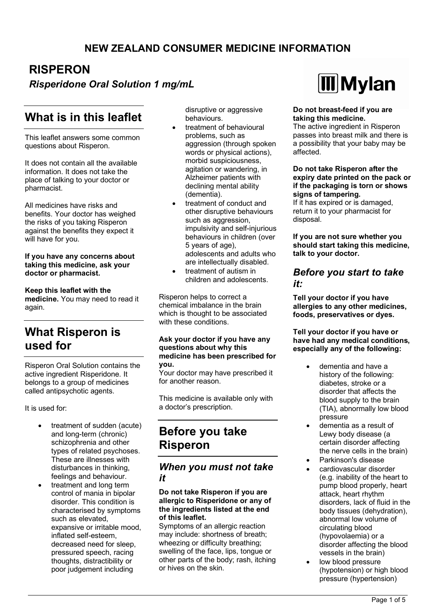## **RISPERON**

*Risperidone Oral Solution 1 mg/mL*

# **What is in this leaflet**

This leaflet answers some common questions about Risperon.

It does not contain all the available information. It does not take the place of talking to your doctor or pharmacist.

All medicines have risks and benefits. Your doctor has weighed the risks of you taking Risperon against the benefits they expect it will have for you.

### **If you have any concerns about taking this medicine, ask your doctor or pharmacist.**

**Keep this leaflet with the medicine.** You may need to read it again.

# **What Risperon is used for**

Risperon Oral Solution contains the active ingredient Risperidone. It belongs to a group of medicines called antipsychotic agents.

It is used for:

- treatment of sudden (acute) and long-term (chronic) schizophrenia and other types of related psychoses. These are illnesses with disturbances in thinking, feelings and behaviour.
- treatment and long term control of mania in bipolar disorder. This condition is characterised by symptoms such as elevated, expansive or irritable mood, inflated self-esteem, decreased need for sleep, pressured speech, racing thoughts, distractibility or poor judgement including

disruptive or aggressive behaviours.

- treatment of behavioural problems, such as aggression (through spoken words or physical actions), morbid suspiciousness, agitation or wandering, in Alzheimer patients with declining mental ability (dementia).
- treatment of conduct and other disruptive behaviours such as aggression, impulsivity and self-injurious behaviours in children (over 5 years of age), adolescents and adults who are intellectually disabled.
- treatment of autism in children and adolescents.

Risperon helps to correct a chemical imbalance in the brain which is thought to be associated with these conditions.

#### **Ask your doctor if you have any questions about why this medicine has been prescribed for you.**

Your doctor may have prescribed it for another reason.

This medicine is available only with a doctor's prescription.

# **Before you take Risperon**

### *When you must not take it*

### **Do not take Risperon if you are allergic to Risperidone or any of the ingredients listed at the end of this leaflet.**

Symptoms of an allergic reaction may include: shortness of breath; wheezing or difficulty breathing; swelling of the face, lips, tongue or other parts of the body; rash, itching or hives on the skin.



### **Do not breast-feed if you are taking this medicine.**

The active ingredient in Risperon passes into breast milk and there is a possibility that your baby may be affected.

#### **Do not take Risperon after the expiry date printed on the pack or if the packaging is torn or shows signs of tampering.**

If it has expired or is damaged, return it to your pharmacist for disposal.

**If you are not sure whether you should start taking this medicine, talk to your doctor.**

### *Before you start to take it:*

**Tell your doctor if you have allergies to any other medicines, foods, preservatives or dyes.**

**Tell your doctor if you have or have had any medical conditions, especially any of the following:**

- dementia and have a history of the following: diabetes, stroke or a disorder that affects the blood supply to the brain (TIA), abnormally low blood pressure
- dementia as a result of Lewy body disease (a certain disorder affecting the nerve cells in the brain)
- Parkinson's disease
	- cardiovascular disorder (e.g. inability of the heart to pump blood properly, heart attack, heart rhythm disorders, lack of fluid in the body tissues (dehydration), abnormal low volume of circulating blood (hypovolaemia) or a disorder affecting the blood vessels in the brain)
	- low blood pressure (hypotension) or high blood pressure (hypertension)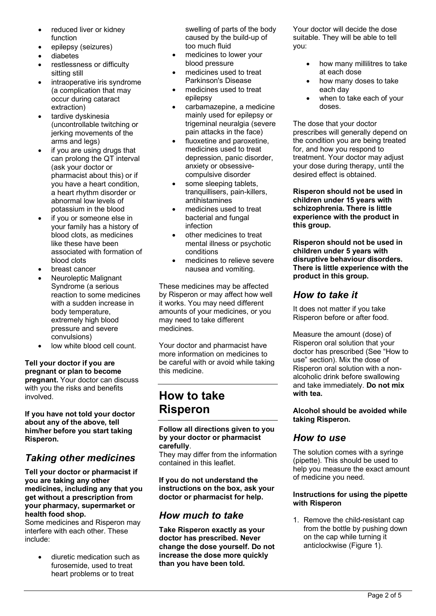- reduced liver or kidney function
- epilepsy (seizures)
- diabetes
- restlessness or difficulty sitting still
- intraoperative iris syndrome (a complication that may occur during cataract extraction)
- tardive dyskinesia (uncontrollable twitching or jerking movements of the arms and legs)
- if you are using drugs that can prolong the QT interval (ask your doctor or pharmacist about this) or if you have a heart condition, a heart rhythm disorder or abnormal low levels of potassium in the blood
- if you or someone else in your family has a history of blood clots, as medicines like these have been associated with formation of blood clots
- breast cancer
- Neuroleptic Malignant Syndrome (a serious reaction to some medicines with a sudden increase in body temperature, extremely high blood pressure and severe convulsions)
- low white blood cell count.

#### **Tell your doctor if you are pregnant or plan to become pregnant.** Your doctor can discuss with you the risks and benefits involved.

**If you have not told your doctor about any of the above, tell him/her before you start taking Risperon.**

## *Taking other medicines*

**Tell your doctor or pharmacist if you are taking any other medicines, including any that you get without a prescription from your pharmacy, supermarket or health food shop.**

Some medicines and Risperon may interfere with each other. These include:

> • diuretic medication such as furosemide, used to treat heart problems or to treat

swelling of parts of the body caused by the build-up of too much fluid

- medicines to lower your blood pressure
- medicines used to treat Parkinson's Disease
- medicines used to treat epilepsy
- carbamazepine, a medicine mainly used for epilepsy or trigeminal neuralgia (severe pain attacks in the face)
- fluoxetine and paroxetine, medicines used to treat depression, panic disorder, anxiety or obsessivecompulsive disorder
- some sleeping tablets. tranquillisers, pain-killers, antihistamines
- medicines used to treat bacterial and fungal infection
- other medicines to treat mental illness or psychotic conditions
- medicines to relieve severe nausea and vomiting.

These medicines may be affected by Risperon or may affect how well it works. You may need different amounts of your medicines, or you may need to take different medicines.

Your doctor and pharmacist have more information on medicines to be careful with or avoid while taking this medicine.

# **How to take Risperon**

### **Follow all directions given to you by your doctor or pharmacist carefully**.

They may differ from the information contained in this leaflet.

**If you do not understand the instructions on the box, ask your doctor or pharmacist for help.**

## *How much to take*

**Take Risperon exactly as your doctor has prescribed. Never change the dose yourself. Do not increase the dose more quickly than you have been told.**

Your doctor will decide the dose suitable. They will be able to tell you:

- how many millilitres to take at each dose
- how many doses to take each day
- when to take each of your doses.

The dose that your doctor prescribes will generally depend on the condition you are being treated for, and how you respond to treatment. Your doctor may adjust your dose during therapy, until the desired effect is obtained.

**Risperon should not be used in children under 15 years with schizophrenia. There is little experience with the product in this group.**

**Risperon should not be used in children under 5 years with disruptive behaviour disorders. There is little experience with the product in this group.**

## *How to take it*

It does not matter if you take Risperon before or after food.

Measure the amount (dose) of Risperon oral solution that your doctor has prescribed (See "How to use" section). Mix the dose of Risperon oral solution with a nonalcoholic drink before swallowing and take immediately. **Do not mix with tea.**

### **Alcohol should be avoided while taking Risperon.**

### *How to use*

The solution comes with a syringe (pipette). This should be used to help you measure the exact amount of medicine you need.

### **Instructions for using the pipette with Risperon**

1. Remove the child-resistant cap from the bottle by pushing down on the cap while turning it anticlockwise (Figure 1).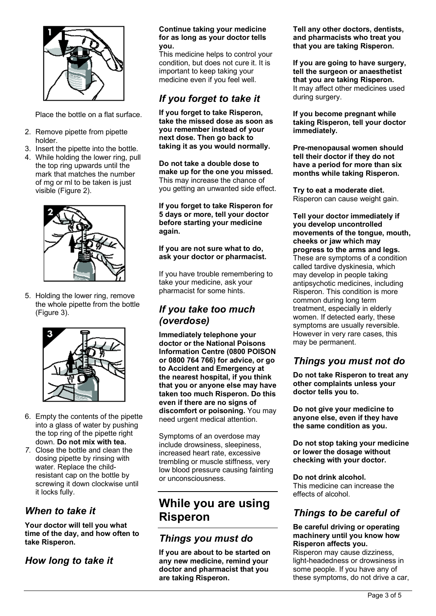

Place the bottle on a flat surface.

- 2. Remove pipette from pipette holder.
- 3. Insert the pipette into the bottle.
- 4. While holding the lower ring, pull the top ring upwards until the mark that matches the number of mg or ml to be taken is just visible (Figure 2).



5. Holding the lower ring, remove the whole pipette from the bottle (Figure 3).



- 6. Empty the contents of the pipette into a glass of water by pushing the top ring of the pipette right down. **Do not mix with tea.**
- *7.* Close the bottle and clean the dosing pipette by rinsing with water. Replace the childresistant cap on the bottle by screwing it down clockwise until it locks fully.

## *When to take it*

**Your doctor will tell you what time of the day, and how often to take Risperon.**

### *How long to take it*

#### **Continue taking your medicine for as long as your doctor tells you.**

This medicine helps to control your condition, but does not cure it. It is important to keep taking your medicine even if you feel well.

## *If you forget to take it*

**If you forget to take Risperon, take the missed dose as soon as you remember instead of your next dose. Then go back to taking it as you would normally.** 

**Do not take a double dose to make up for the one you missed.** This may increase the chance of you getting an unwanted side effect.

#### **If you forget to take Risperon for 5 days or more, tell your doctor before starting your medicine again.**

### **If you are not sure what to do, ask your doctor or pharmacist.**

If you have trouble remembering to take your medicine, ask your pharmacist for some hints.

## *If you take too much (overdose)*

**Immediately telephone your doctor or the National Poisons Information Centre (0800 POISON or 0800 764 766) for advice, or go to Accident and Emergency at the nearest hospital, if you think that you or anyone else may have taken too much Risperon. Do this even if there are no signs of discomfort or poisoning.** You may need urgent medical attention.

Symptoms of an overdose may include drowsiness, sleepiness, increased heart rate, excessive trembling or muscle stiffness, very low blood pressure causing fainting or unconsciousness.

# **While you are using Risperon**

## *Things you must do*

**If you are about to be started on any new medicine, remind your doctor and pharmacist that you are taking Risperon.**

**Tell any other doctors, dentists, and pharmacists who treat you that you are taking Risperon.**

**If you are going to have surgery, tell the surgeon or anaesthetist that you are taking Risperon.** It may affect other medicines used during surgery.

**If you become pregnant while taking Risperon, tell your doctor immediately.**

**Pre-menopausal women should tell their doctor if they do not have a period for more than six months while taking Risperon.**

**Try to eat a moderate diet.** Risperon can cause weight gain.

**Tell your doctor immediately if you develop uncontrolled movements of the tongue, mouth, cheeks or jaw which may progress to the arms and legs.** These are symptoms of a condition called tardive dyskinesia, which may develop in people taking antipsychotic medicines, including Risperon. This condition is more common during long term treatment, especially in elderly women. If detected early, these symptoms are usually reversible. However in very rare cases, this may be permanent.

## *Things you must not do*

**Do not take Risperon to treat any other complaints unless your doctor tells you to.**

**Do not give your medicine to anyone else, even if they have the same condition as you.**

**Do not stop taking your medicine or lower the dosage without checking with your doctor.**

**Do not drink alcohol.**  This medicine can increase the effects of alcohol.

## *Things to be careful of*

### **Be careful driving or operating machinery until you know how Risperon affects you.**

Risperon may cause dizziness, light-headedness or drowsiness in some people. If you have any of these symptoms, do not drive a car,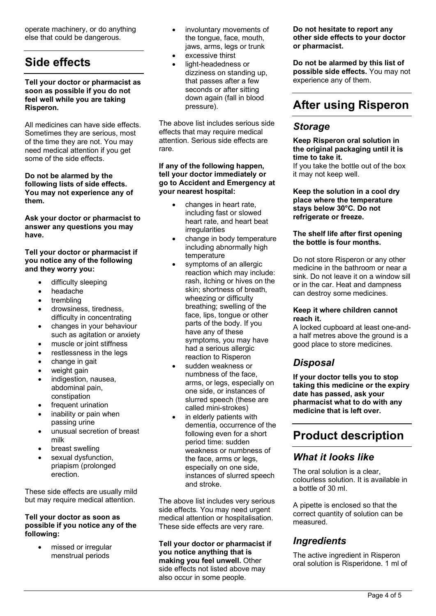operate machinery, or do anything else that could be dangerous.

# **Side effects**

### **Tell your doctor or pharmacist as soon as possible if you do not feel well while you are taking Risperon.**

All medicines can have side effects. Sometimes they are serious, most of the time they are not. You may need medical attention if you get some of the side effects.

#### **Do not be alarmed by the following lists of side effects. You may not experience any of them.**

**Ask your doctor or pharmacist to answer any questions you may have.**

#### **Tell your doctor or pharmacist if you notice any of the following and they worry you:**

- difficulty sleeping
- headache
- trembling
- drowsiness, tiredness, difficulty in concentrating
- changes in your behaviour such as agitation or anxiety
- muscle or joint stiffness
- restlessness in the legs
- change in gait
- weight gain
- indigestion, nausea, abdominal pain, constipation
- frequent urination
- inability or pain when passing urine
- unusual secretion of breast milk
- breast swelling
- sexual dysfunction, priapism (prolonged erection.

These side effects are usually mild but may require medical attention.

### **Tell your doctor as soon as possible if you notice any of the following:**

• missed or irregular menstrual periods

- involuntary movements of the tongue, face, mouth, jaws, arms, legs or trunk
- excessive thirst
- light-headedness or dizziness on standing up, that passes after a few seconds or after sitting down again (fall in blood pressure).

The above list includes serious side effects that may require medical attention. Serious side effects are rare.

#### **If any of the following happen, tell your doctor immediately or go to Accident and Emergency at your nearest hospital:**

- changes in heart rate, including fast or slowed heart rate, and heart beat irregularities
- change in body temperature including abnormally high temperature
- symptoms of an allergic reaction which may include: rash, itching or hives on the skin; shortness of breath, wheezing or difficulty breathing; swelling of the face, lips, tongue or other parts of the body. If you have any of these symptoms, you may have had a serious allergic reaction to Risperon
- sudden weakness or numbness of the face, arms, or legs, especially on one side, or instances of slurred speech (these are called mini-strokes)
- in elderly patients with dementia, occurrence of the following even for a short period time: sudden weakness or numbness of the face, arms or legs, especially on one side, instances of slurred speech and stroke.

The above list includes very serious side effects. You may need urgent medical attention or hospitalisation. These side effects are very rare.

#### **Tell your doctor or pharmacist if you notice anything that is making you feel unwell.** Other side effects not listed above may also occur in some people.

**Do not hesitate to report any other side effects to your doctor or pharmacist.**

**Do not be alarmed by this list of possible side effects.** You may not experience any of them.

# **After using Risperon**

### *Storage*

**Keep Risperon oral solution in the original packaging until it is time to take it.** If you take the bottle out of the box it may not keep well.

**Keep the solution in a cool dry place where the temperature stays below 30°C. Do not refrigerate or freeze.**

### **The shelf life after first opening the bottle is four months.**

Do not store Risperon or any other medicine in the bathroom or near a sink. Do not leave it on a window sill or in the car. Heat and dampness can destroy some medicines.

#### **Keep it where children cannot reach it.**

A locked cupboard at least one-anda half metres above the ground is a good place to store medicines.

## *Disposal*

**If your doctor tells you to stop taking this medicine or the expiry date has passed, ask your pharmacist what to do with any medicine that is left over.**

# **Product description**

## *What it looks like*

The oral solution is a clear, colourless solution. It is available in a bottle of 30 ml.

A pipette is enclosed so that the correct quantity of solution can be measured.

## *Ingredients*

The active ingredient in Risperon oral solution is Risperidone. 1 ml of